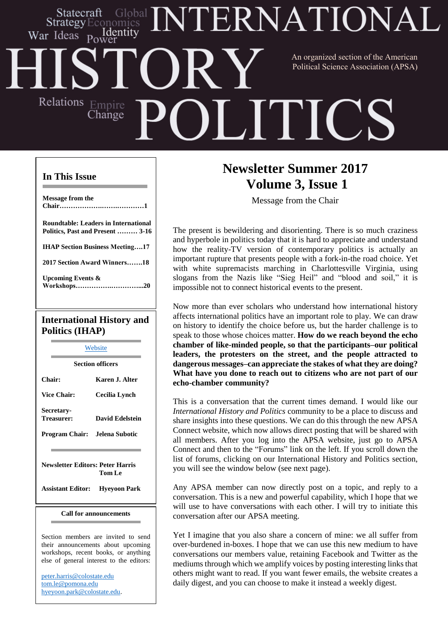### **ERNATIONA** Statecraft `ilobal ldentitv War Ideas An organized section of the American Political Science Association (APSA)Relations Empire ITIC Change

#### **In This Issue**

**Message from the Chair……………….…….…………1 Roundtable: Leaders in International Politics, Past and Present ……… 3-16 IHAP Section Business Meeting….17 2017 Section Award Winners…….18 Upcoming Events & Workshops…………….…………...20 International History and**

# **Politics (IHAP)**

[Website](http://web.apsanet.org/ihap/) **Section officers Chair: Karen J. Alter Vice Chair: Cecilia Lynch Secretary-Treasurer: David Edelstein Program Chair: Jelena Subotic**

**Newsletter Editors: Peter Harris Tom Le**

**Assistant Editor: Hyeyoon Park**

#### **Call for announcements**

Section members are invited to send their announcements about upcoming workshops, recent books, or anything else of general interest to the editors:

[peter.harris@colostate.edu](mailto:peter.harris@colostate.edu) [tom.le@pomona.edu](mailto:tom.le@pomona.edu) [hyeyoon.park@colostate.edu.](mailto:hyeyoon.park@colostate.edu)

# **Newsletter Summer 2017 Volume 3, Issue 1**

Message from the Chair

The present is bewildering and disorienting. There is so much craziness and hyperbole in politics today that it is hard to appreciate and understand how the reality-TV version of contemporary politics is actually an important rupture that presents people with a fork-in-the road choice. Yet with white supremacists marching in Charlottesville Virginia, using slogans from the Nazis like "Sieg Heil" and "blood and soil," it is impossible not to connect historical events to the present.

Now more than ever scholars who understand how international history affects international politics have an important role to play. We can draw on history to identify the choice before us, but the harder challenge is to speak to those whose choices matter. **How do we reach beyond the echo chamber of like-minded people, so that the participants–our political leaders, the protesters on the street, and the people attracted to dangerous messages–can appreciate the stakes of what they are doing? What have you done to reach out to citizens who are not part of our echo-chamber community?**

This is a conversation that the current times demand. I would like our *International History and Politics* community to be a place to discuss and share insights into these questions. We can do this through the new APSA Connect website, which now allows direct posting that will be shared with all members. After you log into the APSA website, just go to APSA Connect and then to the "Forums" link on the left. If you scroll down the list of forums, clicking on our International History and Politics section, you will see the window below (see next page).

Any APSA member can now directly post on a topic, and reply to a conversation. This is a new and powerful capability, which I hope that we will use to have conversations with each other. I will try to initiate this conversation after our APSA meeting.

Yet I imagine that you also share a concern of mine: we all suffer from over-burdened in-boxes. I hope that we can use this new medium to have conversations our members value, retaining Facebook and Twitter as the mediums through which we amplify voices by posting interesting links that others might want to read. If you want fewer emails, the website creates a daily digest, and you can choose to make it instead a weekly digest.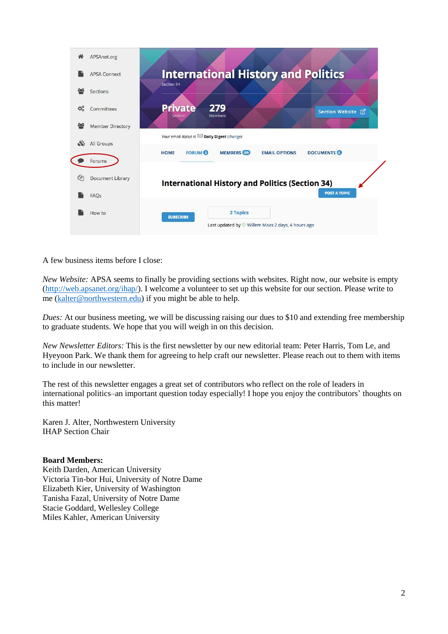

A few business items before I close:

*New Website:* APSA seems to finally be providing sections with websites. Right now, our website is empty [\(http://web.apsanet.org/ihap/\)](http://web.apsanet.org/ihap/)). I welcome a volunteer to set up this website for our section. Please write to me [\(kalter@northwestern.edu\)](mailto:kalter@northwestern.edu) if you might be able to help.

*Dues:* At our business meeting, we will be discussing raising our dues to \$10 and extending free membership to graduate students. We hope that you will weigh in on this decision.

*New Newsletter Editors:* This is the first newsletter by our new editorial team: Peter Harris, Tom Le, and Hyeyoon Park. We thank them for agreeing to help craft our newsletter. Please reach out to them with items to include in our newsletter.

The rest of this newsletter engages a great set of contributors who reflect on the role of leaders in international politics–an important question today especially! I hope you enjoy the contributors' thoughts on this matter!

Karen J. Alter, Northwestern University IHAP Section Chair

#### **Board Members:**

Keith Darden, American University Victoria Tin-bor Hui, University of Notre Dame Elizabeth Kier, University of Washington Tanisha Fazal, University of Notre Dame Stacie Goddard, Wellesley College Miles Kahler, American University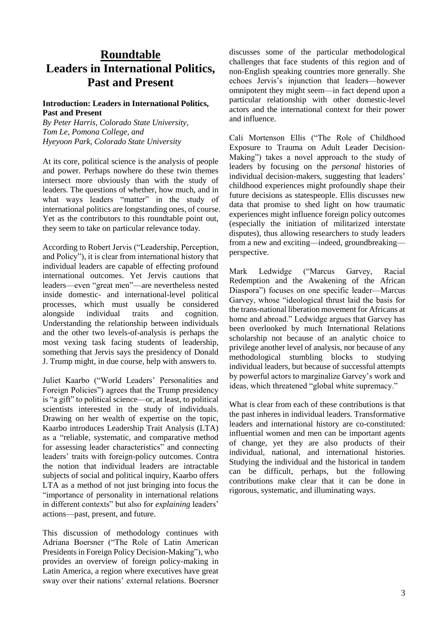## **Roundtable Leaders in International Politics, Past and Present**

#### **Introduction: Leaders in International Politics, Past and Present**

*By Peter Harris, Colorado State University, Tom Le, Pomona College, and Hyeyoon Park, Colorado State University*

At its core, political science is the analysis of people and power. Perhaps nowhere do these twin themes intersect more obviously than with the study of leaders. The questions of whether, how much, and in what ways leaders "matter" in the study of international politics are longstanding ones, of course. Yet as the contributors to this roundtable point out, they seem to take on particular relevance today.

According to Robert Jervis ("Leadership, Perception, and Policy"), it is clear from international history that individual leaders are capable of effecting profound international outcomes. Yet Jervis cautions that leaders—even "great men"—are nevertheless nested inside domestic- and international-level political processes, which must usually be considered alongside individual traits and cognition. Understanding the relationship between individuals and the other two levels-of-analysis is perhaps the most vexing task facing students of leadership, something that Jervis says the presidency of Donald J. Trump might, in due course, help with answers to.

Juliet Kaarbo ("World Leaders' Personalities and Foreign Policies") agrees that the Trump presidency is "a gift" to political science—or, at least, to political scientists interested in the study of individuals. Drawing on her wealth of expertise on the topic, Kaarbo introduces Leadership Trait Analysis (LTA) as a "reliable, systematic, and comparative method for assessing leader characteristics" and connecting leaders' traits with foreign-policy outcomes. Contra the notion that individual leaders are intractable subjects of social and political inquiry, Kaarbo offers LTA as a method of not just bringing into focus the "importance of personality in international relations in different contexts" but also for *explaining* leaders' actions—past, present, and future.

This discussion of methodology continues with Adriana Boersner ("The Role of Latin American Presidents in Foreign Policy Decision-Making"), who provides an overview of foreign policy-making in Latin America, a region where executives have great sway over their nations' external relations. Boersner

discusses some of the particular methodological challenges that face students of this region and of non-English speaking countries more generally. She echoes Jervis's injunction that leaders—however omnipotent they might seem—in fact depend upon a particular relationship with other domestic-level actors and the international context for their power and influence.

Cali Mortenson Ellis ("The Role of Childhood Exposure to Trauma on Adult Leader Decision-Making") takes a novel approach to the study of leaders by focusing on the *personal* histories of individual decision-makers, suggesting that leaders' childhood experiences might profoundly shape their future decisions as statespeople. Ellis discusses new data that promise to shed light on how traumatic experiences might influence foreign policy outcomes (especially the initiation of militarized interstate disputes), thus allowing researchers to study leaders from a new and exciting—indeed, groundbreaking perspective.

Mark Ledwidge ("Marcus Garvey, Racial Redemption and the Awakening of the African Diaspora") focuses on one specific leader—Marcus Garvey, whose "ideological thrust laid the basis for the trans-national liberation movement for Africans at home and abroad." Ledwidge argues that Garvey has been overlooked by much International Relations scholarship not because of an analytic choice to privilege another level of analysis, nor because of any methodological stumbling blocks to studying individual leaders, but because of successful attempts by powerful actors to marginalize Garvey's work and ideas, which threatened "global white supremacy."

What is clear from each of these contributions is that the past inheres in individual leaders. Transformative leaders and international history are co-constituted: influential women and men can be important agents of change, yet they are also products of their individual, national, and international histories. Studying the individual and the historical in tandem can be difficult, perhaps, but the following contributions make clear that it can be done in rigorous, systematic, and illuminating ways.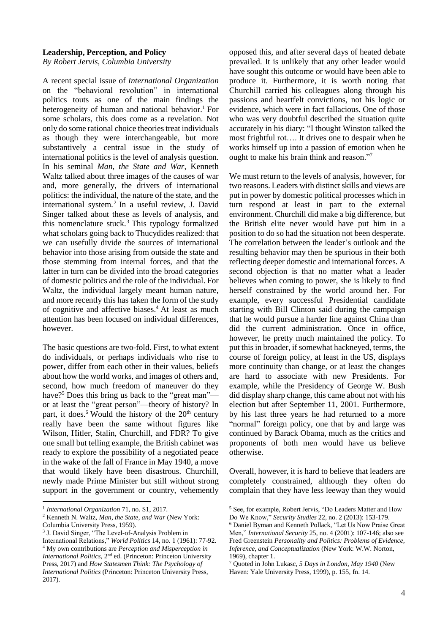#### **Leadership, Perception, and Policy**

*By Robert Jervis, Columbia University*

A recent special issue of *International Organization* on the "behavioral revolution" in international politics touts as one of the main findings the heterogeneity of human and national behavior.<sup>1</sup> For some scholars, this does come as a revelation. Not only do some rational choice theories treat individuals as though they were interchangeable, but more substantively a central issue in the study of international politics is the level of analysis question. In his seminal *Man, the State and War*, Kenneth Waltz talked about three images of the causes of war and, more generally, the drivers of international politics: the individual, the nature of the state, and the international system.<sup>2</sup> In a useful review, J. David Singer talked about these as levels of analysis, and this nomenclature stuck.<sup>3</sup> This typology formalized what scholars going back to Thucydides realized: that we can usefully divide the sources of international behavior into those arising from outside the state and those stemming from internal forces, and that the latter in turn can be divided into the broad categories of domestic politics and the role of the individual. For Waltz, the individual largely meant human nature, and more recently this has taken the form of the study of cognitive and affective biases.<sup>4</sup> At least as much attention has been focused on individual differences, however.

The basic questions are two-fold. First, to what extent do individuals, or perhaps individuals who rise to power, differ from each other in their values, beliefs about how the world works, and images of others and, second, how much freedom of maneuver do they have?<sup>5</sup> Does this bring us back to the "great man" or at least the "great person"—theory of history? In part, it does.<sup>6</sup> Would the history of the  $20<sup>th</sup>$  century really have been the same without figures like Wilson, Hitler, Stalin, Churchill, and FDR? To give one small but telling example, the British cabinet was ready to explore the possibility of a negotiated peace in the wake of the fall of France in May 1940, a move that would likely have been disastrous. Churchill, newly made Prime Minister but still without strong support in the government or country, vehemently

opposed this, and after several days of heated debate prevailed. It is unlikely that any other leader would have sought this outcome or would have been able to produce it. Furthermore, it is worth noting that Churchill carried his colleagues along through his passions and heartfelt convictions, not his logic or evidence, which were in fact fallacious. One of those who was very doubtful described the situation quite accurately in his diary: "I thought Winston talked the most frightful rot…. It drives one to despair when he works himself up into a passion of emotion when he ought to make his brain think and reason."<sup>7</sup>

We must return to the levels of analysis, however, for two reasons. Leaders with distinct skills and views are put in power by domestic political processes which in turn respond at least in part to the external environment. Churchill did make a big difference, but the British elite never would have put him in a position to do so had the situation not been desperate. The correlation between the leader's outlook and the resulting behavior may then be spurious in their both reflecting deeper domestic and international forces. A second objection is that no matter what a leader believes when coming to power, she is likely to find herself constrained by the world around her. For example, every successful Presidential candidate starting with Bill Clinton said during the campaign that he would pursue a harder line against China than did the current administration. Once in office, however, he pretty much maintained the policy. To put thisin broader, if somewhat hackneyed, terms, the course of foreign policy, at least in the US, displays more continuity than change, or at least the changes are hard to associate with new Presidents. For example, while the Presidency of George W. Bush did display sharp change, this came about not with his election but after September 11, 2001. Furthermore, by his last three years he had returned to a more "normal" foreign policy, one that by and large was continued by Barack Obama, much as the critics and proponents of both men would have us believe otherwise.

Overall, however, it is hard to believe that leaders are completely constrained, although they often do complain that they have less leeway than they would

<sup>1</sup> 1 *International Organization* 71, no. S1, 2017.

<sup>2</sup> Kenneth N. Waltz, *Man, the State, and War* (New York:

Columbia University Press, 1959).

<sup>3</sup> J. David Singer, "The Level-of-Analysis Problem in International Relations," *World Politics* 14, no. 1 (1961): 77-92. <sup>4</sup> My own contributions are *Perception and Misperception in International Politics*, 2nd ed. (Princeton: Princeton University Press, 2017) and *How Statesmen Think: The Psychology of International Politics* (Princeton: Princeton University Press, 2017).

<sup>5</sup> See, for example, Robert Jervis, "Do Leaders Matter and How Do We Know," *Security Studies* 22, no. 2 (2013): 153-179.

<sup>6</sup> Daniel Byman and Kenneth Pollack, "Let Us Now Praise Great Men," *International Security* 25, no. 4 (2001): 107-146; also see Fred Greenstein *Personality and Politics: Problems of Evidence, Inference, and Conceptualization* (New York: W.W. Norton, 1969), chapter 1.

<sup>7</sup> Quoted in John Lukasc, *5 Days in London, May 1940* (New Haven: Yale University Press, 1999), p. 155, fn. 14.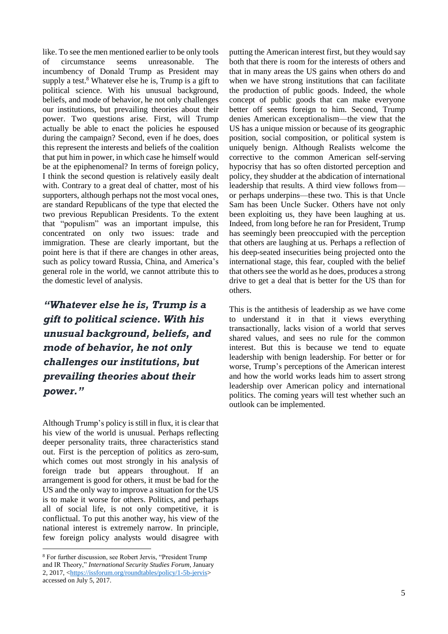like. To see the men mentioned earlier to be only tools of circumstance seems unreasonable. The incumbency of Donald Trump as President may supply a test.<sup>8</sup> Whatever else he is, Trump is a gift to political science. With his unusual background, beliefs, and mode of behavior, he not only challenges our institutions, but prevailing theories about their power. Two questions arise. First, will Trump actually be able to enact the policies he espoused during the campaign? Second, even if he does, does this represent the interests and beliefs of the coalition that put him in power, in which case he himself would be at the epiphenomenal? In terms of foreign policy, I think the second question is relatively easily dealt with. Contrary to a great deal of chatter, most of his supporters, although perhaps not the most vocal ones, are standard Republicans of the type that elected the two previous Republican Presidents. To the extent that "populism" was an important impulse, this concentrated on only two issues: trade and immigration. These are clearly important, but the point here is that if there are changes in other areas, such as policy toward Russia, China, and America's general role in the world, we cannot attribute this to the domestic level of analysis.

*"Whatever else he is, Trump is a gift to political science. With his unusual background, beliefs, and mode of behavior, he not only challenges our institutions, but prevailing theories about their power."*

Although Trump's policy is still in flux, it is clear that his view of the world is unusual. Perhaps reflecting deeper personality traits, three characteristics stand out. First is the perception of politics as zero-sum, which comes out most strongly in his analysis of foreign trade but appears throughout. If an arrangement is good for others, it must be bad for the US and the only way to improve a situation for the US is to make it worse for others. Politics, and perhaps all of social life, is not only competitive, it is conflictual. To put this another way, his view of the national interest is extremely narrow. In principle, few foreign policy analysts would disagree with

1

putting the American interest first, but they would say both that there is room for the interests of others and that in many areas the US gains when others do and when we have strong institutions that can facilitate the production of public goods. Indeed, the whole concept of public goods that can make everyone better off seems foreign to him. Second, Trump denies American exceptionalism—the view that the US has a unique mission or because of its geographic position, social composition, or political system is uniquely benign. Although Realists welcome the corrective to the common American self-serving hypocrisy that has so often distorted perception and policy, they shudder at the abdication of international leadership that results. A third view follows from or perhaps underpins—these two. This is that Uncle Sam has been Uncle Sucker. Others have not only been exploiting us, they have been laughing at us. Indeed, from long before he ran for President, Trump has seemingly been preoccupied with the perception that others are laughing at us. Perhaps a reflection of his deep-seated insecurities being projected onto the international stage, this fear, coupled with the belief that others see the world as he does, produces a strong drive to get a deal that is better for the US than for others.

This is the antithesis of leadership as we have come to understand it in that it views everything transactionally, lacks vision of a world that serves shared values, and sees no rule for the common interest. But this is because we tend to equate leadership with benign leadership. For better or for worse, Trump's perceptions of the American interest and how the world works leads him to assert strong leadership over American policy and international politics. The coming years will test whether such an outlook can be implemented.

<sup>8</sup> For further discussion, see Robert Jervis, "President Trump and IR Theory," *International Security Studies Forum*, January 2, 2017, [<https://issforum.org/roundtables/policy/1-5b-jervis>](https://issforum.org/roundtables/policy/1-5b-jervis) accessed on July 5, 2017.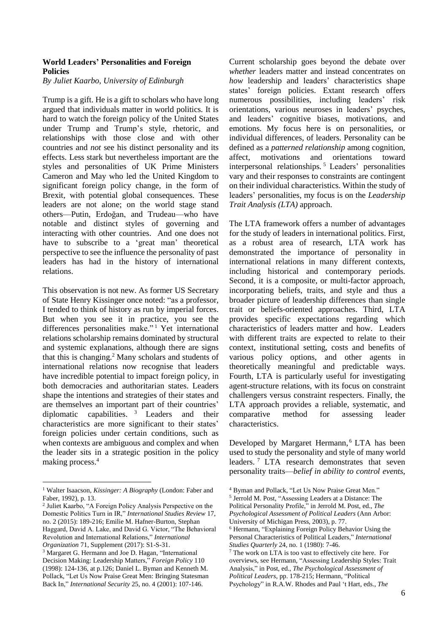#### **World Leaders' Personalities and Foreign Policies**

*By Juliet Kaarbo, University of Edinburgh*

Trump is a gift. He is a gift to scholars who have long argued that individuals matter in world politics. It is hard to watch the foreign policy of the United States under Trump and Trump's style, rhetoric, and relationships with those close and with other countries and *not* see his distinct personality and its effects. Less stark but nevertheless important are the styles and personalities of UK Prime Ministers Cameron and May who led the United Kingdom to significant foreign policy change, in the form of Brexit, with potential global consequences. These leaders are not alone; on the world stage stand others—Putin, Erdoğan, and Trudeau—who have notable and distinct styles of governing and interacting with other countries. And one does not have to subscribe to a 'great man' theoretical perspective to see the influence the personality of past leaders has had in the history of international relations.

This observation is not new. As former US Secretary of State Henry Kissinger once noted: "as a professor, I tended to think of history as run by imperial forces. But when you see it in practice, you see the differences personalities make."<sup>1</sup> Yet international relations scholarship remains dominated by structural and systemic explanations, although there are signs that this is changing.<sup>2</sup> Many scholars and students of international relations now recognise that leaders have incredible potential to impact foreign policy, in both democracies and authoritarian states. Leaders shape the intentions and strategies of their states and are themselves an important part of their countries' diplomatic capabilities. <sup>3</sup> Leaders and their characteristics are more significant to their states' foreign policies under certain conditions, such as when contexts are ambiguous and complex and when the leader sits in a strategic position in the policy making process.<sup>4</sup>

<u>.</u>

Current scholarship goes beyond the debate over *whether* leaders matter and instead concentrates on *how* leadership and leaders' characteristics shape states' foreign policies. Extant research offers numerous possibilities, including leaders' risk orientations, various neuroses in leaders' psyches, and leaders' cognitive biases, motivations, and emotions. My focus here is on personalities, or individual differences, of leaders. Personality can be defined as a *patterned relationship* among cognition, affect, motivations and orientations toward interpersonal relationships. <sup>5</sup> Leaders' personalities vary and their responses to constraints are contingent on their individual characteristics. Within the study of leaders' personalities, my focus is on the *Leadership Trait Analysis (LTA)* approach.

The LTA framework offers a number of advantages for the study of leaders in international politics. First, as a robust area of research, LTA work has demonstrated the importance of personality in international relations in many different contexts, including historical and contemporary periods. Second, it is a composite, or multi-factor approach, incorporating beliefs, traits, and style and thus a broader picture of leadership differences than single trait or beliefs-oriented approaches. Third, LTA provides specific expectations regarding which characteristics of leaders matter and how. Leaders with different traits are expected to relate to their context, institutional setting, costs and benefits of various policy options, and other agents in theoretically meaningful and predictable ways. Fourth, LTA is particularly useful for investigating agent-structure relations, with its focus on constraint challengers versus constraint respecters. Finally, the LTA approach provides a reliable, systematic, and comparative method for assessing leader characteristics.

Developed by Margaret Hermann,<sup>6</sup> LTA has been used to study the personality and style of many world leaders. <sup>7</sup> LTA research demonstrates that seven personality traits—*belief in ability to control events,*

5 Jerrold M. Post, "Assessing Leaders at a Distance: The

<sup>1</sup> Walter Isaacson, *Kissinger: A Biography* (London: Faber and Faber, 1992), p. 13.

<sup>2</sup> Juliet Kaarbo, "A Foreign Policy Analysis Perspective on the Domestic Politics Turn in IR," *International Studies Review* 17, no. 2 (2015): 189-216; Emilie M. Hafner-Burton, Stephan Haggard, David A. Lake, and David G. Victor, "The Behavioral Revolution and International Relations," *International Organization* 71, Supplement (2017): S1-S-31.

<sup>3</sup> Margaret G. Hermann and Joe D. Hagan, "International Decision Making: Leadership Matters," *Foreign Policy* 110 (1998): 124-136, at p.126; Daniel L. Byman and Kenneth M. Pollack, "Let Us Now Praise Great Men: Bringing Statesman Back In," *International Security* 25, no. 4 (2001): 107-146.

<sup>4</sup> Byman and Pollack, "Let Us Now Praise Great Men."

Political Personality Profile," in Jerrold M. Post, ed., *The Psychological Assessment of Political Leaders* (Ann Arbor: University of Michigan Press, 2003), p. 77.

<sup>6</sup> Hermann, "Explaining Foreign Policy Behavior Using the Personal Characteristics of Political Leaders," *International Studies Quarterly* 24, no. 1 (1980): 7-46.

<sup>7</sup> The work on LTA is too vast to effectively cite here. For overviews, see Hermann, "Assessing Leadership Styles: Trait Analysis," in Post, ed., *The Psychological Assessment of Political Leaders*, pp. 178-215; Hermann, "Political Psychology" in R.A.W. Rhodes and Paul 't Hart, eds., *The*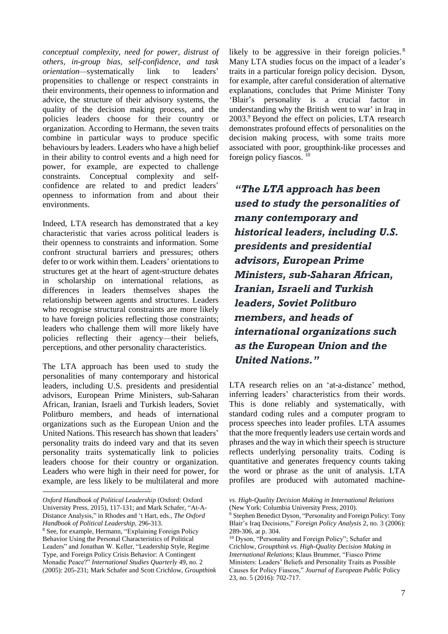*conceptual complexity, need for power, distrust of others, in-group bias, self-confidence, and task orientation—*systematically link to leaders' propensities to challenge or respect constraints in their environments, their openness to information and advice, the structure of their advisory systems, the quality of the decision making process, and the policies leaders choose for their country or organization. According to Hermann, the seven traits combine in particular ways to produce specific behaviours by leaders. Leaders who have a high belief in their ability to control events and a high need for power, for example, are expected to challenge constraints. Conceptual complexity and selfconfidence are related to and predict leaders' openness to information from and about their environments.

Indeed, LTA research has demonstrated that a key characteristic that varies across political leaders is their openness to constraints and information. Some confront structural barriers and pressures; others defer to or work within them. Leaders' orientations to structures get at the heart of agent-structure debates in scholarship on international relations, as differences in leaders themselves shapes the relationship between agents and structures. Leaders who recognise structural constraints are more likely to have foreign policies reflecting those constraints; leaders who challenge them will more likely have policies reflecting their agency—their beliefs, perceptions, and other personality characteristics.

The LTA approach has been used to study the personalities of many contemporary and historical leaders, including U.S. presidents and presidential advisors, European Prime Ministers, sub-Saharan African, Iranian, Israeli and Turkish leaders, Soviet Politburo members, and heads of international organizations such as the European Union and the United Nations. This research has shown that leaders' personality traits do indeed vary and that its seven personality traits systematically link to policies leaders choose for their country or organization. Leaders who were high in their need for power, for example, are less likely to be multilateral and more

1

likely to be aggressive in their foreign policies.<sup>8</sup> Many LTA studies focus on the impact of a leader's traits in a particular foreign policy decision. Dyson, for example, after careful consideration of alternative explanations, concludes that Prime Minister Tony 'Blair's personality is a crucial factor in understanding why the British went to war' in Iraq in 2003.<sup>9</sup> Beyond the effect on policies, LTA research demonstrates profound effects of personalities on the decision making process, with some traits more associated with poor, groupthink-like processes and foreign policy fiascos. <sup>10</sup>

*"The LTA approach has been used to study the personalities of many contemporary and historical leaders, including U.S. presidents and presidential advisors, European Prime Ministers, sub-Saharan African, Iranian, Israeli and Turkish leaders, Soviet Politburo members, and heads of international organizations such as the European Union and the United Nations."*

LTA research relies on an 'at-a-distance' method, inferring leaders' characteristics from their words. This is done reliably and systematically, with standard coding rules and a computer program to process speeches into leader profiles. LTA assumes that the more frequently leaders use certain words and phrases and the way in which their speech is structure reflects underlying personality traits. Coding is quantitative and generates frequency counts taking the word or phrase as the unit of analysis. LTA profiles are produced with automated machine-

*Oxford Handbook of Political Leadership* (Oxford: Oxford University Press, 2015), 117-131; and Mark Schafer, "At-A-Distance Analysis," in Rhodes and 't Hart, eds., *The Oxford Handbook of Political Leadership*, 296-313.

<sup>8</sup> See, for example, Hermann, "Explaining Foreign Policy Behavior Using the Personal Characteristics of Political Leaders" and Jonathan W. Keller, "Leadership Style, Regime Type, and Foreign Policy Crisis Behavior: A Contingent Monadic Peace?" *International Studies Quarterly* 49, no. 2 (2005): 205-231; Mark Schafer and Scott Crichlow, *Groupthink* 

*vs. High-Quality Decision Making in International Relations* (New York: Columbia University Press, 2010).

<sup>9</sup> Stephen Benedict Dyson, "Personality and Foreign Policy: Tony Blair's Iraq Decisions," *Foreign Policy Analysis* 2, no. 3 (2006): 289-306, at p. 304.

<sup>10</sup> Dyson, "Personality and Foreign Policy"; Schafer and Crichlow, *Groupthink vs. High-Quality Decision Making in International Relations*; Klaus Brummer, "Fiasco Prime Ministers: Leaders' Beliefs and Personality Traits as Possible Causes for Policy Fiascos," *Journal of European Public* Policy 23, no. 5 (2016): 702-717.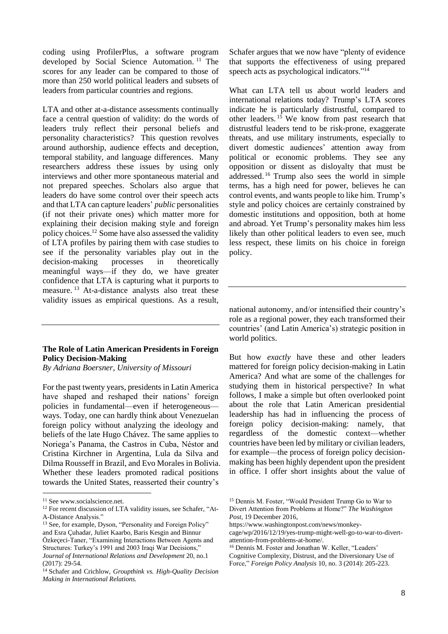coding using ProfilerPlus, a software program developed by Social Science Automation. <sup>11</sup> The scores for any leader can be compared to those of more than 250 world political leaders and subsets of leaders from particular countries and regions.

LTA and other at-a-distance assessments continually face a central question of validity: do the words of leaders truly reflect their personal beliefs and personality characteristics? This question revolves around authorship, audience effects and deception, temporal stability, and language differences. Many researchers address these issues by using only interviews and other more spontaneous material and not prepared speeches. Scholars also argue that leaders do have some control over their speech acts and that LTA can capture leaders' *public* personalities (if not their private ones) which matter more for explaining their decision making style and foreign policy choices.<sup>12</sup> Some have also assessed the validity of LTA profiles by pairing them with case studies to see if the personality variables play out in the decision-making processes in theoretically meaningful ways—if they do, we have greater confidence that LTA is capturing what it purports to measure.<sup>13</sup> At-a-distance analysts also treat these validity issues as empirical questions. As a result,

#### **The Role of Latin American Presidents in Foreign Policy Decision-Making**

*By Adriana Boersner, University of Missouri*

For the past twenty years, presidents in Latin America have shaped and reshaped their nations' foreign policies in fundamental—even if heterogeneous ways. Today, one can hardly think about Venezuelan foreign policy without analyzing the ideology and beliefs of the late Hugo Chávez. The same applies to Noriega's Panama, the Castros in Cuba, Néstor and Cristina Kirchner in Argentina, Lula da Silva and Dilma Rousseff in Brazil, and Evo Morales in Bolivia. Whether these leaders promoted radical positions towards the United States, reasserted their country's

1

Schafer argues that we now have "plenty of evidence that supports the effectiveness of using prepared speech acts as psychological indicators."<sup>14</sup>

What can LTA tell us about world leaders and international relations today? Trump's LTA scores indicate he is particularly distrustful, compared to other leaders.  $15$  We know from past research that distrustful leaders tend to be risk-prone, exaggerate threats, and use military instruments, especially to divert domestic audiences' attention away from political or economic problems. They see any opposition or dissent as disloyalty that must be addressed. <sup>16</sup> Trump also sees the world in simple terms, has a high need for power, believes he can control events, and wants people to like him. Trump's style and policy choices are certainly constrained by domestic institutions and opposition, both at home and abroad. Yet Trump's personality makes him less likely than other political leaders to even see, much less respect, these limits on his choice in foreign policy.

national autonomy, and/or intensified their country's role as a regional power, they each transformed their countries' (and Latin America's) strategic position in world politics.

But how *exactly* have these and other leaders mattered for foreign policy decision-making in Latin America? And what are some of the challenges for studying them in historical perspective? In what follows, I make a simple but often overlooked point about the role that Latin American presidential leadership has had in influencing the process of foreign policy decision-making: namely, that regardless of the domestic context—whether countries have been led by military or civilian leaders, for example—the process of foreign policy decisionmaking has been highly dependent upon the president in office. I offer short insights about the value of

<sup>&</sup>lt;sup>11</sup> See www.socialscience.net.

<sup>&</sup>lt;sup>12</sup> For recent discussion of LTA validity issues, see Schafer, "At-A-Distance Analysis."

<sup>&</sup>lt;sup>13</sup> See, for example, Dyson, "Personality and Foreign Policy" and Esra Çuhadar, Juliet Kaarbo, Baris Kesgin and Binnur Özkeçeci-Taner, "Examining Interactions Between Agents and Structures: Turkey's 1991 and 2003 Iraqi War Decisions," *Journal of International Relations and Development* 20, no.1 (2017): 29-54.

<sup>14</sup> Schafer and Crichlow, *Groupthink vs. High-Quality Decision Making in International Relations.*

<sup>15</sup> Dennis M. Foster, "Would President Trump Go to War to Divert Attention from Problems at Home?" *The Washington Post*, 19 December 2016,

https://www.washingtonpost.com/news/monkey-

cage/wp/2016/12/19/yes-trump-might-well-go-to-war-to-divertattention-from-problems-at-home/.

<sup>16</sup> Dennis M. Foster and Jonathan W. Keller, "Leaders' Cognitive Complexity, Distrust, and the Diversionary Use of Force," *Foreign Policy Analysis* 10, no. 3 (2014): 205-223.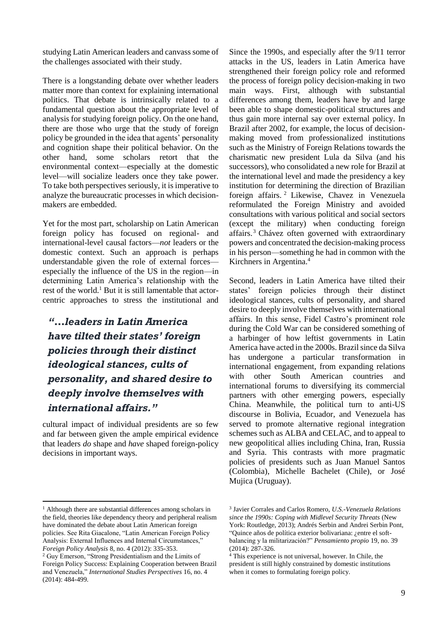studying Latin American leaders and canvass some of the challenges associated with their study.

There is a longstanding debate over whether leaders matter more than context for explaining international politics. That debate is intrinsically related to a fundamental question about the appropriate level of analysis for studying foreign policy. On the one hand, there are those who urge that the study of foreign policy be grounded in the idea that agents' personality and cognition shape their political behavior. On the other hand, some scholars retort that the environmental context—especially at the domestic level—will socialize leaders once they take power. To take both perspectives seriously, it is imperative to analyze the bureaucratic processes in which decisionmakers are embedded.

Yet for the most part, scholarship on Latin American foreign policy has focused on regional- and international-level causal factors—*not* leaders or the domestic context. Such an approach is perhaps understandable given the role of external forces especially the influence of the US in the region—in determining Latin America's relationship with the rest of the world.<sup>1</sup> But it is still lamentable that actorcentric approaches to stress the institutional and

# *"…leaders in Latin America have tilted their states' foreign policies through their distinct ideological stances, cults of personality, and shared desire to deeply involve themselves with international affairs."*

cultural impact of individual presidents are so few and far between given the ample empirical evidence that leaders *do* shape and *have* shaped foreign-policy decisions in important ways.

Since the 1990s, and especially after the 9/11 terror attacks in the US, leaders in Latin America have strengthened their foreign policy role and reformed the process of foreign policy decision-making in two main ways. First, although with substantial differences among them, leaders have by and large been able to shape domestic-political structures and thus gain more internal say over external policy. In Brazil after 2002, for example, the locus of decisionmaking moved from professionalized institutions such as the Ministry of Foreign Relations towards the charismatic new president Lula da Silva (and his successors), who consolidated a new role for Brazil at the international level and made the presidency a key institution for determining the direction of Brazilian foreign affairs. <sup>2</sup> Likewise, Chavez in Venezuela reformulated the Foreign Ministry and avoided consultations with various political and social sectors (except the military) when conducting foreign affairs.<sup>3</sup> Chávez often governed with extraordinary powers and concentrated the decision-making process in his person—something he had in common with the Kirchners in Argentina.<sup>4</sup>

Second, leaders in Latin America have tilted their states' foreign policies through their distinct ideological stances, cults of personality, and shared desire to deeply involve themselves with international affairs. In this sense, Fidel Castro's prominent role during the Cold War can be considered something of a harbinger of how leftist governments in Latin America have acted in the 2000s. Brazil since da Silva has undergone a particular transformation in international engagement, from expanding relations with other South American countries and international forums to diversifying its commercial partners with other emerging powers, especially China. Meanwhile, the political turn to anti-US discourse in Bolivia, Ecuador, and Venezuela has served to promote alternative regional integration schemes such as ALBA and CELAC, and to appeal to new geopolitical allies including China, Iran, Russia and Syria. This contrasts with more pragmatic policies of presidents such as Juan Manuel Santos (Colombia), Michelle Bachelet (Chile), or José Mujica (Uruguay).

1

<sup>&</sup>lt;sup>1</sup> Although there are substantial differences among scholars in the field, theories like dependency theory and peripheral realism have dominated the debate about Latin American foreign policies. See Rita Giacalone, "Latin American Foreign Policy Analysis: External Influences and Internal Circumstances," *Foreign Policy Analysis* 8, no. 4 (2012): 335-353.

<sup>2</sup> Guy Emerson, "Strong Presidentialism and the Limits of Foreign Policy Success: Explaining Cooperation between Brazil and Venezuela," *International Studies Perspectives* 16, no. 4 (2014): 484-499.

<sup>3</sup> Javier Corrales and Carlos Romero, *U.S.-Venezuela Relations since the 1990s: Coping with Midlevel Security Threats* (New York: Routledge, 2013); Andrés Serbin and Andrei Serbin Pont, "Quince años de política exterior bolivariana: ¿entre el softbalancing y la militarización?" *Pensamiento propio* 19, no. 39 (2014): 287-326.

<sup>4</sup> This experience is not universal, however. In Chile, the president is still highly constrained by domestic institutions when it comes to formulating foreign policy.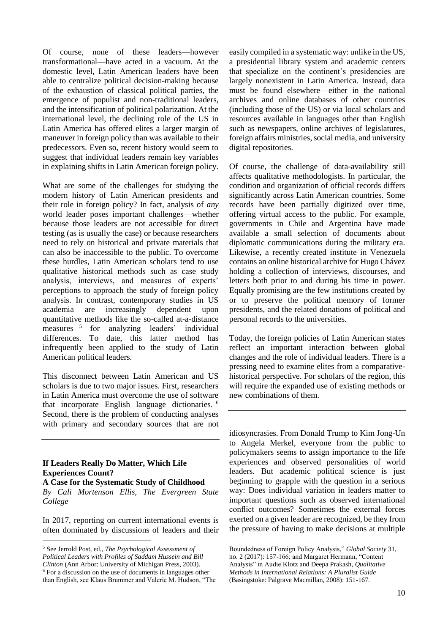Of course, none of these leaders—however transformational—have acted in a vacuum. At the domestic level, Latin American leaders have been able to centralize political decision-making because of the exhaustion of classical political parties, the emergence of populist and non-traditional leaders, and the intensification of political polarization. At the international level, the declining role of the US in Latin America has offered elites a larger margin of maneuver in foreign policy than was available to their predecessors. Even so, recent history would seem to suggest that individual leaders remain key variables in explaining shifts in Latin American foreign policy.

What are some of the challenges for studying the modern history of Latin American presidents and their role in foreign policy? In fact, analysis of *any* world leader poses important challenges—whether because those leaders are not accessible for direct testing (as is usually the case) or because researchers need to rely on historical and private materials that can also be inaccessible to the public. To overcome these hurdles, Latin American scholars tend to use qualitative historical methods such as case study analysis, interviews, and measures of experts' perceptions to approach the study of foreign policy analysis. In contrast, contemporary studies in US academia are increasingly dependent upon quantitative methods like the so-called at-a-distance measures <sup>5</sup> for analyzing leaders' individual differences. To date, this latter method has infrequently been applied to the study of Latin American political leaders.

This disconnect between Latin American and US scholars is due to two major issues. First, researchers in Latin America must overcome the use of software that incorporate English language dictionaries. <sup>6</sup> Second, there is the problem of conducting analyses with primary and secondary sources that are not

#### **If Leaders Really Do Matter, Which Life Experiences Count?**

**A Case for the Systematic Study of Childhood** *By Cali Mortenson Ellis, The Evergreen State College*

In 2017, reporting on current international events is often dominated by discussions of leaders and their

<u>.</u>

easily compiled in a systematic way: unlike in the US, a presidential library system and academic centers that specialize on the continent's presidencies are largely nonexistent in Latin America. Instead, data must be found elsewhere—either in the national archives and online databases of other countries (including those of the US) or via local scholars and resources available in languages other than English such as newspapers, online archives of legislatures, foreign affairs ministries, social media, and university digital repositories.

Of course, the challenge of data-availability still affects qualitative methodologists. In particular, the condition and organization of official records differs significantly across Latin American countries. Some records have been partially digitized over time, offering virtual access to the public. For example, governments in Chile and Argentina have made available a small selection of documents about diplomatic communications during the military era. Likewise, a recently created institute in Venezuela contains an online historical archive for Hugo Chávez holding a collection of interviews, discourses, and letters both prior to and during his time in power. Equally promising are the few institutions created by or to preserve the political memory of former presidents, and the related donations of political and personal records to the universities.

Today, the foreign policies of Latin American states reflect an important interaction between global changes and the role of individual leaders. There is a pressing need to examine elites from a comparativehistorical perspective. For scholars of the region, this will require the expanded use of existing methods or new combinations of them.

idiosyncrasies. From Donald Trump to Kim Jong-Un to Angela Merkel, everyone from the public to policymakers seems to assign importance to the life experiences and observed personalities of world leaders. But academic political science is just beginning to grapple with the question in a serious way: Does individual variation in leaders matter to important questions such as observed international conflict outcomes? Sometimes the external forces exerted on a given leader are recognized, be they from the pressure of having to make decisions at multiple

<sup>5</sup> See Jerrold Post, ed., *The Psychological Assessment of Political Leaders with Profiles of Saddam Hussein and Bill Clinton* (Ann Arbor: University of Michigan Press, 2003). <sup>6</sup> For a discussion on the use of documents in languages other than English, see Klaus Brummer and Valerie M. Hudson, "The

Boundedness of Foreign Policy Analysis," *Global Society* 31, no. 2 (2017): 157-166; and Margaret Hermann, "Content Analysis" in Audie Klotz and Deepa Prakash, *Qualitative Methods in International Relations: A Pluralist Guide* (Basingstoke: Palgrave Macmillan, 2008): 151-167.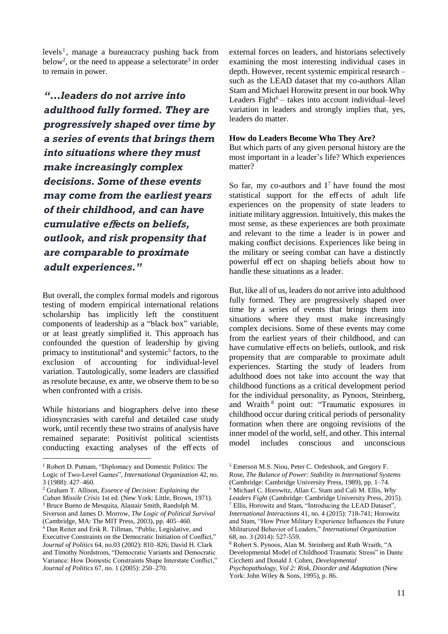levels<sup>1</sup>, manage a bureaucracy pushing back from below<sup>2</sup>, or the need to appease a selectorate<sup>3</sup> in order to remain in power.

*"…leaders do not arrive into adulthood fully formed. They are progressively shaped over time by a series of events that brings them into situations where they must make increasingly complex decisions. Some of these events may come from the earliest years of their childhood, and can have cumulative e*ff*ects on beliefs, outlook, and risk propensity that are comparable to proximate adult experiences."*

But overall, the complex formal models and rigorous testing of modern empirical international relations scholarship has implicitly left the constituent components of leadership as a "black box" variable, or at least greatly simplified it. This approach has confounded the question of leadership by giving primacy to institutional<sup>4</sup> and systemic<sup>5</sup> factors, to the exclusion of accounting for individual-level variation. Tautologically, some leaders are classified as resolute because, ex ante, we observe them to be so when confronted with a crisis.

While historians and biographers delve into these idiosyncrasies with careful and detailed case study work, until recently these two strains of analysis have remained separate: Positivist political scientists conducting exacting analyses of the eff ects of

<u>.</u>

<sup>2</sup> Graham T. Allison, *Essence of Decision: Explaining the Cuban Missile Crisis* 1st ed. (New York: Little, Brown, 1971). <sup>3</sup> Bruce Bueno de Mesquita, Alastair Smith, Randolph M. Siverson and James D. Morrow, *The Logic of Political Survival* (Cambridge, MA: The MIT Press, 2003), pp. 405–460. <sup>4</sup> Dan Reiter and Erik R. Tillman, "Public, Legislative, and Executive Constraints on the Democratic Initiation of Conflict," *Journal of Politics* 64, no.03 (2002): 810–826; David H. Clark and Timothy Nordstrom, "Democratic Variants and Democratic Variance: How Domestic Constraints Shape Interstate Conflict," *Journal of Politics* 67, no. 1 (2005): 250–270.

external forces on leaders, and historians selectively examining the most interesting individual cases in depth. However, recent systemic empirical research – such as the LEAD dataset that my co-authors Allan Stam and Michael Horowitz present in our book Why Leaders Fight $6 -$  takes into account individual–level variation in leaders and strongly implies that, yes, leaders do matter.

#### **How do Leaders Become Who They Are?**

But which parts of any given personal history are the most important in a leader's life? Which experiences matter?

So far, my co-authors and  $I^7$  have found the most statistical support for the eff ects of adult life experiences on the propensity of state leaders to initiate military aggression. Intuitively, this makes the most sense, as these experiences are both proximate and relevant to the time a leader is in power and making conflict decisions. Experiences like being in the military or seeing combat can have a distinctly powerful eff ect on shaping beliefs about how to handle these situations as a leader.

But, like all of us, leaders do not arrive into adulthood fully formed. They are progressively shaped over time by a series of events that brings them into situations where they must make increasingly complex decisions. Some of these events may come from the earliest years of their childhood, and can have cumulative eff ects on beliefs, outlook, and risk propensity that are comparable to proximate adult experiences. Starting the study of leaders from adulthood does not take into account the way that childhood functions as a critical development period for the individual personality, as Pynoos, Steinberg, and Wraith <sup>8</sup> point out: "Traumatic exposures in childhood occur during critical periods of personality formation when there are ongoing revisions of the inner model of the world, self, and other. This internal model includes conscious and unconscious

<sup>1</sup> Robert D. Putnam, "Diplomacy and Domestic Politics: The

Logic of Two-Level Games", *International Organization* 42, no. 3 (1988): 427–460.

<sup>5</sup> Emerson M.S. Niou, Peter C. Ordeshook, and Gregory F. Rose, *The Balance of Power: Stability in International Systems* (Cambridge: Cambridge University Press, 1989), pp. 1–74. <sup>6</sup> Michael C. Horowitz, Allan C. Stam and Cali M. Ellis, *Why Leaders Fight* (Cambridge: Cambridge University Press, 2015). <sup>7</sup> Ellis, Horowitz and Stam, "Introducing the LEAD Dataset", *International Interactions* 41, no. 4 (2015): 718-741; Horowitz and Stam, "How Prior Military Experience Influences the Future Militarized Behavior of Leaders," *International Organization*  68, no. 3 (2014): 527-559.

<sup>8</sup> Robert S. Pynoos, Alan M. Steinberg and Ruth Wraith, "A Developmental Model of Childhood Traumatic Stress" in Dante Cicchetti and Donald J. Cohen, *Developmental Psychopathology, Vol 2: Risk, Disorder and Adaptation* (New York: John Wiley & Sons, 1995), p. 86.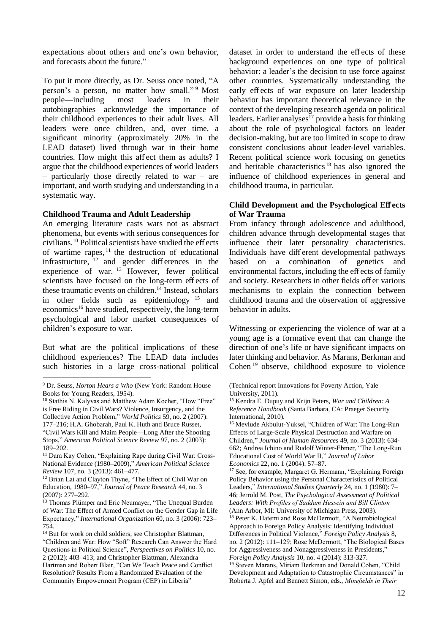expectations about others and one's own behavior, and forecasts about the future."

To put it more directly, as Dr. Seuss once noted, "A person's a person, no matter how small."<sup>9</sup> Most people—including most leaders in their autobiographies—acknowledge the importance of their childhood experiences to their adult lives. All leaders were once children, and, over time, a significant minority (approximately 20% in the LEAD dataset) lived through war in their home countries. How might this aff ect them as adults? I argue that the childhood experiences of world leaders – particularly those directly related to war – are important, and worth studying and understanding in a systematic way.

#### **Childhood Trauma and Adult Leadership**

An emerging literature casts wars not as abstract phenomena, but events with serious consequences for  $civilians.<sup>10</sup> Political scientists have studied the effects$ of wartime rapes,  $\frac{11}{11}$  the destruction of educational infrastructure,  $12$  and gender differences in the experience of war. <sup>13</sup> However, fewer political scientists have focused on the long-term eff ects of these traumatic events on children.<sup>14</sup> Instead, scholars in other fields such as epidemiology <sup>15</sup> and economics<sup>16</sup> have studied, respectively, the long-term psychological and labor market consequences of children's exposure to war.

But what are the political implications of these childhood experiences? The LEAD data includes such histories in a large cross-national political

1

dataset in order to understand the eff ects of these background experiences on one type of political behavior: a leader's the decision to use force against other countries. Systematically understanding the early eff ects of war exposure on later leadership behavior has important theoretical relevance in the context of the developing research agenda on political leaders. Earlier analyses $17$  provide a basis for thinking about the role of psychological factors on leader decision-making, but are too limited in scope to draw consistent conclusions about leader-level variables. Recent political science work focusing on genetics and heritable characteristics  $18$  has also ignored the influence of childhood experiences in general and childhood trauma, in particular.

#### **Child Development and the Psychological E**ff **ects of War Trauma**

From infancy through adolescence and adulthood, children advance through developmental stages that influence their later personality characteristics. Individuals have diff erent developmental pathways based on a combination of genetics and environmental factors, including the eff ects of family and society. Researchers in other fields off er various mechanisms to explain the connection between childhood trauma and the observation of aggressive behavior in adults.

Witnessing or experiencing the violence of war at a young age is a formative event that can change the direction of one's life or have significant impacts on later thinking and behavior. As Marans, Berkman and Cohen <sup>19</sup> observe, childhood exposure to violence

<sup>16</sup> Mevlude Akbulut-Yuksel, "Children of War: The Long-Run Effects of Large-Scale Physical Destruction and Warfare on Children," *Journal of Human Resources* 49, no. 3 (2013): 634- 662; Andrea Ichino and Rudolf Winter-Ebmer, "The Long-Run Educational Cost of World War II," *Journal of Labor Economics* 22, no. 1 (2004): 57–87.

<sup>17</sup> See, for example, Margaret G. Hermann, "Explaining Foreign Policy Behavior using the Personal Characteristics of Political Leaders," *International Studies Quarterly* 24, no. 1 (1980): 7– 46; Jerrold M. Post, *The Psychological Assessment of Political Leaders: With Profiles of Saddam Hussein and Bill Clinton* (Ann Arbor, MI: University of Michigan Press, 2003).

<sup>18</sup> Peter K. Hatemi and Rose McDermott, "A Neurobiological Approach to Foreign Policy Analysis: Identifying Individual Differences in Political Violence," *Foreign Policy Analysis* 8, no. 2 (2012): 111–129; Rose McDermott, "The Biological Bases for Aggressiveness and Nonaggressiveness in Presidents," *Foreign Policy Analysis* 10, no. 4 (2014): 313-327.

<sup>19</sup> Steven Marans, Miriam Berkman and Donald Cohen, "Child Development and Adaptation to Catastrophic Circumstances" in Roberta J. Apfel and Bennett Simon, eds., *Minefields in Their* 

<sup>9</sup> Dr. Seuss, *Horton Hears a Who* (New York: Random House Books for Young Readers, 1954).

<sup>10</sup> Stathis N. Kalyvas and Matthew Adam Kocher, "How "Free" is Free Riding in Civil Wars? Violence, Insurgency, and the Collective Action Problem," *World Politics* 59, no. 2 (2007): 177–216; H.A. Ghobarah, Paul K. Huth and Bruce Russet, "Civil Wars Kill and Maim People—Long After the Shooting Stops," *American Political Science Review* 97, no. 2 (2003): 189–202.

<sup>&</sup>lt;sup>11</sup> Dara Kay Cohen, "Explaining Rape during Civil War: Cross-National Evidence (1980–2009)," *American Political Science Review* 107, no. 3 (2013): 461–477.

<sup>&</sup>lt;sup>12</sup> Brian Lai and Clayton Thyne, "The Effect of Civil War on Education, 1980–97," *Journal of Peace Research* 44, no. 3 (2007): 277–292.

<sup>&</sup>lt;sup>13</sup> Thomas Plümper and Eric Neumayer, "The Unequal Burden of War: The Effect of Armed Conflict on the Gender Gap in Life Expectancy," *International Organization* 60, no. 3 (2006): 723– 754.

<sup>&</sup>lt;sup>14</sup> But for work on child soldiers, see Christopher Blattman, "Children and War: How "Soft" Research Can Answer the Hard Questions in Political Science", *Perspectives on Politics* 10, no. 2 (2012): 403–413; and Christopher Blattman, Alexandra Hartman and Robert Blair, "Can We Teach Peace and Conflict Resolution? Results From a Randomized Evaluation of the Community Empowerment Program (CEP) in Liberia"

<sup>(</sup>Technical report Innovations for Poverty Action, Yale University, 2011).

<sup>15</sup> Kendra E. Dupuy and Krijn Peters, *War and Children: A Reference Handbook* (Santa Barbara, CA: Praeger Security International, 2010).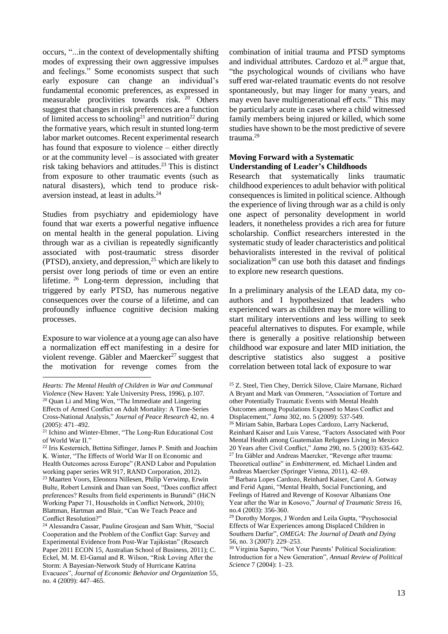occurs, "...in the context of developmentally shifting modes of expressing their own aggressive impulses and feelings." Some economists suspect that such early exposure can change an individual's fundamental economic preferences, as expressed in measurable proclivities towards risk. <sup>20</sup> Others suggest that changes in risk preferences are a function of limited access to schooling<sup>21</sup> and nutrition<sup>22</sup> during the formative years, which result in stunted long-term labor market outcomes. Recent experimental research has found that exposure to violence – either directly or at the community level – is associated with greater risk taking behaviors and attitudes. <sup>23</sup> This is distinct from exposure to other traumatic events (such as natural disasters), which tend to produce riskaversion instead, at least in adults.<sup>24</sup>

Studies from psychiatry and epidemiology have found that war exerts a powerful negative influence on mental health in the general population. Living through war as a civilian is repeatedly significantly associated with post-traumatic stress disorder  $(PTSD)$ , anxiety, and depression,<sup>25</sup> which are likely to persist over long periods of time or even an entire lifetime. <sup>26</sup> Long-term depression, including that triggered by early PTSD, has numerous negative consequences over the course of a lifetime, and can profoundly influence cognitive decision making processes.

Exposure to war violence at a young age can also have a normalization eff ect manifesting in a desire for violent revenge. Gäbler and Maercker<sup>27</sup> suggest that the motivation for revenge comes from the

1

combination of initial trauma and PTSD symptoms and individual attributes. Cardozo et al. $^{28}$  argue that, "the psychological wounds of civilians who have suff ered war-related traumatic events do not resolve spontaneously, but may linger for many years, and may even have multigenerational eff ects." This may be particularly acute in cases where a child witnessed family members being injured or killed, which some studies have shown to be the most predictive of severe trauma.<sup>29</sup>

#### **Moving Forward with a Systematic Understanding of Leader's Childhoods**

Research that systematically links traumatic childhood experiences to adult behavior with political consequences is limited in political science. Although the experience of living through war as a child is only one aspect of personality development in world leaders, it nonetheless provides a rich area for future scholarship. Conflict researchers interested in the systematic study of leader characteristics and political behavioralists interested in the revival of political socialization<sup>30</sup> can use both this dataset and findings to explore new research questions.

In a preliminary analysis of the LEAD data, my coauthors and I hypothesized that leaders who experienced wars as children may be more willing to start military interventions and less willing to seek peaceful alternatives to disputes. For example, while there is generally a positive relationship between childhood war exposure and later MID initiation, the descriptive statistics also suggest a positive correlation between total lack of exposure to war

<sup>25</sup> Z. Steel, Tien Chey, Derrick Silove, Claire Marnane, Richard A Bryant and Mark van Ommeren, "Association of Torture and other Potentially Traumatic Events with Mental Health Outcomes among Populations Exposed to Mass Conflict and Displacement," *Jama* 302, no. 5 (2009): 537-549. <sup>26</sup> Miriam Sabin, Barbara Lopes Cardozo, Larry Nackerud, Reinhard Kaiser and Luis Varese, "Factors Associated with Poor Mental Health among Guatemalan Refugees Living in Mexico 20 Years after Civil Conflict," *Jama* 290, no. 5 (2003): 635-642. <sup>27</sup> Ira Gäbler and Andreas Maercker, "Revenge after trauma: Theoretical outline" in *Embitterment*, ed. Michael Linden and Andreas Maercker (Springer Vienna, 2011), 42–69. <sup>28</sup> Barbara Lopes Cardozo, Reinhard Kaiser, Carol A. Gotway and Ferid Agani, "Mental Health, Social Functioning, and Feelings of Hatred and Revenge of Kosovar Albanians One Year after the War in Kosovo," *Journal of Traumatic Stress* 16, no.4 (2003): 356-360.

*Hearts: The Mental Health of Children in War and Communal Violence* (New Haven: Yale University Press, 1996), p.107. <sup>20</sup> Quan Li and Ming Wen, "The Immediate and Lingering Effects of Armed Conflict on Adult Mortality: A Time-Series Cross-National Analysis," *Journal of Peace Research* 42, no. 4 (2005): 471–492.

<sup>&</sup>lt;sup>21</sup> Ichino and Winter-Ebmer, "The Long-Run Educational Cost of World War II."

<sup>22</sup> Iris Kesternich, Bettina Siflinger, James P. Smith and Joachim K. Winter, "The Effects of World War II on Economic and Health Outcomes across Europe" (RAND Labor and Population working paper series WR 917, RAND Corporation, 2012). <sup>23</sup> Maarten Voors, Eleonora Nillesen, Philip Verwimp, Erwin Bulte, Robert Lensink and Daan van Soest, "Does conflict affect preferences? Results from field experiments in Burundi" (HiCN Working Paper 71, Households in Conflict Network, 2010); Blattman, Hartman and Blair, "Can We Teach Peace and Conflict Resolution?"

<sup>24</sup> Alessandra Cassar, Pauline Grosjean and Sam Whitt, "Social Cooperation and the Problem of the Conflict Gap: Survey and Experimental Evidence from Post-War Tajikistan" (Research Paper 2011 ECON 15, Australian School of Business, 2011); C. Eckel, M. M. El-Gamal and R. Wilson, "Risk Loving After the Storm: A Bayesian-Network Study of Hurricane Katrina Evacuees", *Journal of Economic Behavior and Organization* 55, no. 4 (2009): 447–465.

<sup>29</sup> Dorothy Morgos, J Worden and Leila Gupta, "Psychosocial Effects of War Experiences among Displaced Children in Southern Darfur", *OMEGA: The Journal of Death and Dying* 56, no. 3 (2007): 229–253.

<sup>30</sup> Virginia Sapiro, "Not Your Parents' Political Socialization: Introduction for a New Generation", *Annual Review of Political Science* 7 (2004): 1–23.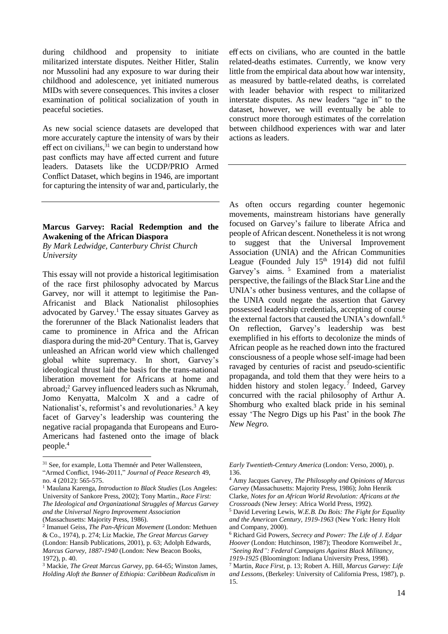during childhood and propensity to initiate militarized interstate disputes. Neither Hitler, Stalin nor Mussolini had any exposure to war during their childhood and adolescence, yet initiated numerous MIDs with severe consequences. This invites a closer examination of political socialization of youth in peaceful societies.

As new social science datasets are developed that more accurately capture the intensity of wars by their eff ect on civilians,  $31$  we can begin to understand how past conflicts may have aff ected current and future leaders. Datasets like the UCDP/PRIO Armed Conflict Dataset, which begins in 1946, are important for capturing the intensity of war and, particularly, the

#### **Marcus Garvey: Racial Redemption and the Awakening of the African Diaspora**

*By Mark Ledwidge, Canterbury Christ Church University*

This essay will not provide a historical legitimisation of the race first philosophy advocated by Marcus Garvey, nor will it attempt to legitimise the Pan-Africanist and Black Nationalist philosophies advocated by Garvey. <sup>1</sup> The essay situates Garvey as the forerunner of the Black Nationalist leaders that came to prominence in Africa and the African diaspora during the mid- $20<sup>th</sup>$  Century. That is, Garvey unleashed an African world view which challenged global white supremacy. In short, Garvey's ideological thrust laid the basis for the trans-national liberation movement for Africans at home and abroad;<sup>2</sup> Garvey influenced leaders such as Nkrumah, Jomo Kenyatta, Malcolm X and a cadre of Nationalist's, reformist's and revolutionaries.<sup>3</sup> A key facet of Garvey's leadership was countering the negative racial propaganda that Europeans and Euro-Americans had fastened onto the image of black people.<sup>4</sup>

1

eff ects on civilians, who are counted in the battle related-deaths estimates. Currently, we know very little from the empirical data about how war intensity, as measured by battle-related deaths, is correlated with leader behavior with respect to militarized interstate disputes. As new leaders "age in" to the dataset, however, we will eventually be able to construct more thorough estimates of the correlation between childhood experiences with war and later actions as leaders.

As often occurs regarding counter hegemonic movements, mainstream historians have generally focused on Garvey's failure to liberate Africa and people of African descent. Nonetheless it is not wrong to suggest that the Universal Improvement Association (UNIA) and the African Communities League (Founded July 15<sup>th</sup> 1914) did not fulfil Garvey's aims.<sup>5</sup> Examined from a materialist perspective, the failings of the Black Star Line and the UNIA's other business ventures, and the collapse of the UNIA could negate the assertion that Garvey possessed leadership credentials, accepting of course the external factors that caused the UNIA's downfall.<sup>6</sup> On reflection, Garvey's leadership was best exemplified in his efforts to decolonize the minds of African people as he reached down into the fractured consciousness of a people whose self-image had been ravaged by centuries of racist and pseudo-scientific propaganda, and told them that they were heirs to a hidden history and stolen legacy.<sup>7</sup> Indeed, Garvey concurred with the racial philosophy of Arthur A. Shomburg who exalted black pride in his seminal essay 'The Negro Digs up his Past' in the book *The New Negro.*

<sup>&</sup>lt;sup>31</sup> See, for example, Lotta Themnér and Peter Wallensteen,

<sup>&</sup>quot;Armed Conflict, 1946-2011," *Journal of Peace Research* 49, no. 4 (2012): 565-575.

<sup>1</sup> Maulana Karenga, *Introduction to Black Studies* (Los Angeles: University of Sankore Press, 2002); Tony Martin., *Race First: The Ideological and Organizational Struggles of Marcus Garvey and the Universal Negro Improvement Association* (Massachusetts: Majority Press, 1986).

<sup>2</sup> Imanuel Geiss, *The Pan-African Movement* (London: Methuen & Co., 1974), p. 274; Liz Mackie, *The Great Marcus Garvey* (London: Hansib Publications, 2001), p. 63; Adolph Edwards, *Marcus Garvey, 1887-1940* (London: New Beacon Books, 1972), p. 40.

<sup>3</sup> Mackie, *The Great Marcus Garvey*, pp. 64-65; Winston James, *Holding Aloft the Banner of Ethiopia: Caribbean Radicalism in* 

*Early Twentieth-Century America* (London: Verso, 2000), p. 136.

<sup>4</sup> Amy Jacques Garvey, *The Philosophy and Opinions of Marcus Garvey* (Massachusetts: Majority Press, 1986); John Henrik Clarke, *Notes for an African World Revolution: Africans at the Crossroads* (New Jersey: Africa World Press, 1992).

<sup>5</sup> David Levering Lewis, *W.E.B. Du Bois: The Fight for Equality and the American Century, 1919-1963* (New York: Henry Holt and Company, 2000).

<sup>6</sup> Richard Gid Powers, *Secrecy and Power: The Life of J. Edgar Hoover* (London: Hutchinson, 1987); Theodore Kornweibel Jr., *"Seeing Red": Federal Campaigns Against Black Militancy, 1919-1925* (Bloomington: Indiana University Press, 1998).

<sup>7</sup> Martin, *Race First*, p. 13; Robert A. Hill, *Marcus Garvey: Life and Lessons*, (Berkeley: University of California Press, 1987), p. 15.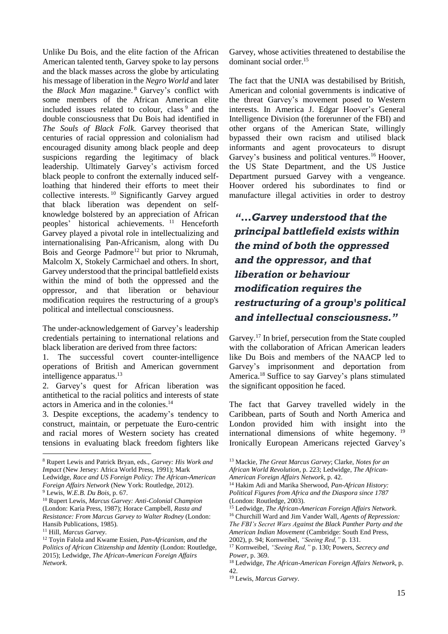Unlike Du Bois, and the elite faction of the African American talented tenth, Garvey spoke to lay persons and the black masses across the globe by articulating his message of liberation in the *Negro World* and later the *Black Man* magazine. <sup>8</sup> Garvey's conflict with some members of the African American elite included issues related to colour, class<sup>9</sup> and the double consciousness that Du Bois had identified in *The Souls of Black Folk*. Garvey theorised that centuries of racial oppression and colonialism had encouraged disunity among black people and deep suspicions regarding the legitimacy of black leadership. Ultimately Garvey's activism forced black people to confront the externally induced selfloathing that hindered their efforts to meet their collective interests. <sup>10</sup> Significantly Garvey argued that black liberation was dependent on selfknowledge bolstered by an appreciation of African peoples' historical achievements. <sup>11</sup> Henceforth Garvey played a pivotal role in intellectualizing and internationalising Pan-Africanism, along with Du Bois and George Padmore<sup>12</sup> but prior to Nkrumah, Malcolm X, Stokely Carmichael and others. In short, Garvey understood that the principal battlefield exists within the mind of both the oppressed and the oppressor, and that liberation or behaviour modification requires the restructuring of a group's political and intellectual consciousness.

The under-acknowledgement of Garvey's leadership credentials pertaining to international relations and black liberation are derived from three factors:

1. The successful covert counter-intelligence operations of British and American government intelligence apparatus. 13

2. Garvey's quest for African liberation was antithetical to the racial politics and interests of state actors in America and in the colonies. 14

3. Despite exceptions, the academy's tendency to construct, maintain, or perpetuate the Euro-centric and racial mores of Western society has created tensions in evaluating black freedom fighters like

Ledwidge, *Race and US Foreign Policy: The African-American Foreign Affairs Network* (New York: Routledge, 2012).

1

Garvey, whose activities threatened to destabilise the dominant social order. 15

The fact that the UNIA was destabilised by British, American and colonial governments is indicative of the threat Garvey's movement posed to Western interests. In America J. Edgar Hoover's General Intelligence Division (the forerunner of the FBI) and other organs of the American State, willingly bypassed their own racism and utilised black informants and agent provocateurs to disrupt Garvey's business and political ventures.<sup>16</sup> Hoover, the US State Department, and the US Justice Department pursued Garvey with a vengeance. Hoover ordered his subordinates to find or manufacture illegal activities in order to destroy

# *"…Garvey understood that the principal battlefield exists within the mind of both the oppressed and the oppressor, and that liberation or behaviour modification requires the restructuring of a group's political and intellectual consciousness."*

Garvey.<sup>17</sup> In brief, persecution from the State coupled with the collaboration of African American leaders like Du Bois and members of the NAACP led to Garvey's imprisonment and deportation from America.<sup>18</sup> Suffice to say Garvey's plans stimulated the significant opposition he faced.

The fact that Garvey travelled widely in the Caribbean, parts of South and North America and London provided him with insight into the international dimensions of white hegemony. <sup>19</sup> Ironically European Americans rejected Garvey's

<sup>8</sup> Rupert Lewis and Patrick Bryan, eds., *Garvey: His Work and Impact* (New Jersey: Africa World Press, 1991); Mark

<sup>9</sup> Lewis, *W.E.B. Du Bois*, p. 67.

<sup>10</sup> Rupert Lewis, *Marcus Garvey: Anti-Colonial Champion* (London: Karia Press, 1987); Horace Campbell, *Rasta and Resistance: From Marcus Garvey to Walter Rodney* (London: Hansib Publications, 1985).

<sup>11</sup> Hill, *Marcus Garvey*.

<sup>12</sup> Toyin Falola and Kwame Essien, *Pan-Africanism, and the Politics of African Citizenship and Identity* (London: Routledge, 2015); Ledwidge, *The African-American Foreign Affairs Network*.

<sup>13</sup> Mackie, *The Great Marcus Garvey*; Clarke, *Notes for an African World Revolution*, p. 223; Ledwidge, *The African-American Foreign Affairs Network*, p. 42.

<sup>14</sup> Hakim Adi and Marika Sherwood, *Pan-African History: Political Figures from Africa and the Diaspora since 1787* (London: Routledge, 2003).

<sup>15</sup> Ledwidge, *The African-American Foreign Affairs Network*. <sup>16</sup> Churchill Ward and Jim Vander Wall, *Agents of Repression: The FBI's Secret Wars Against the Black Panther Party and the American Indian Movement* (Cambridge: South End Press, 2002), p. 94; Kornweibel, *"Seeing Red,"* p. 131.

<sup>17</sup> Kornweibel, *"Seeing Red,"* p. 130; Powers, *Secrecy and Power*, p. 369.

<sup>18</sup> Ledwidge, *The African-American Foreign Affairs Network*, p. 42.

<sup>19</sup> Lewis, *Marcus Garvey*.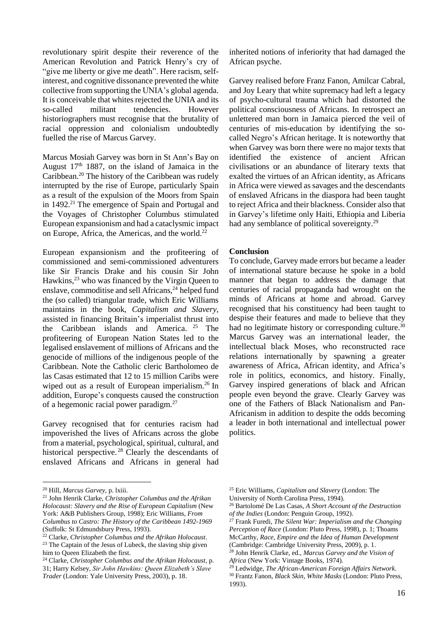revolutionary spirit despite their reverence of the American Revolution and Patrick Henry's cry of "give me liberty or give me death". Here racism, selfinterest, and cognitive dissonance prevented the white collective from supporting the UNIA's global agenda. It is conceivable that whites rejected the UNIA and its so-called militant tendencies. However historiographers must recognise that the brutality of racial oppression and colonialism undoubtedly fuelled the rise of Marcus Garvey.

Marcus Mosiah Garvey was born in St Ann's Bay on August  $17<sup>th</sup>$  1887, on the island of Jamaica in the Caribbean.<sup>20</sup> The history of the Caribbean was rudely interrupted by the rise of Europe, particularly Spain as a result of the expulsion of the Moors from Spain in 1492.<sup>21</sup> The emergence of Spain and Portugal and the Voyages of Christopher Columbus stimulated European expansionism and had a cataclysmic impact on Europe, Africa, the Americas, and the world.<sup>22</sup>

European expansionism and the profiteering of commissioned and semi-commissioned adventurers like Sir Francis Drake and his cousin Sir John Hawkins,<sup>23</sup> who was financed by the Virgin Queen to enslave, commoditise and sell Africans, <sup>24</sup> helped fund the (so called) triangular trade, which Eric Williams maintains in the book, *Capitalism and Slavery*, assisted in financing Britain's imperialist thrust into the Caribbean islands and America. <sup>25</sup> The profiteering of European Nation States led to the legalised enslavement of millions of Africans and the genocide of millions of the indigenous people of the Caribbean. Note the Catholic cleric Bartholomeo de las Casas estimated that 12 to 15 million Caribs were wiped out as a result of European imperialism.<sup>26</sup> In addition, Europe's conquests caused the construction of a hegemonic racial power paradigm. 27

Garvey recognised that for centuries racism had impoverished the lives of Africans across the globe from a material, psychological, spiritual, cultural, and historical perspective.<sup>28</sup> Clearly the descendants of enslaved Africans and Africans in general had

<u>.</u>

inherited notions of inferiority that had damaged the African psyche.

Garvey realised before Franz Fanon, Amilcar Cabral, and Joy Leary that white supremacy had left a legacy of psycho-cultural trauma which had distorted the political consciousness of Africans. In retrospect an unlettered man born in Jamaica pierced the veil of centuries of mis-education by identifying the socalled Negro's African heritage. It is noteworthy that when Garvey was born there were no major texts that identified the existence of ancient African civilisations or an abundance of literary texts that exalted the virtues of an African identity, as Africans in Africa were viewed as savages and the descendants of enslaved Africans in the diaspora had been taught to reject Africa and their blackness. Consider also that in Garvey's lifetime only Haiti, Ethiopia and Liberia had any semblance of political sovereignty.<sup>29</sup>

#### **Conclusion**

To conclude, Garvey made errors but became a leader of international stature because he spoke in a bold manner that began to address the damage that centuries of racial propaganda had wrought on the minds of Africans at home and abroad. Garvey recognised that his constituency had been taught to despise their features and made to believe that they had no legitimate history or corresponding culture.<sup>30</sup> Marcus Garvey was an international leader, the intellectual black Moses, who reconstructed race relations internationally by spawning a greater awareness of Africa, African identity, and Africa's role in politics, economics, and history. Finally, Garvey inspired generations of black and African people even beyond the grave. Clearly Garvey was one of the Fathers of Black Nationalism and Pan-Africanism in addition to despite the odds becoming a leader in both international and intellectual power politics.

<sup>20</sup> Hill, *Marcus Garvey,* p. lxiii.

<sup>21</sup> John Henrik Clarke, *Christopher Columbus and the Afrikan Holocaust: Slavery and the Rise of European Capitalism* (New York: A&B Publishers Group, 1998); Eric Williams, *From Columbus to Castro: The History of the Caribbean 1492-1969* (Suffolk: St Edmundsbury Press, 1993).

<sup>22</sup> Clarke, *Christopher Columbus and the Afrikan Holocaust*.  $23$  The Captain of the Jesus of Lubeck, the slaving ship given him to Queen Elizabeth the first.

<sup>24</sup> Clarke, *Christopher Columbus and the Afrikan Holocaust*, p. 31; Harry Kelsey, *Sir John Hawkins: Queen Elizabeth's Slave Trader* (London: Yale University Press, 2003), p. 18.

<sup>25</sup> Eric Williams, *Capitalism and Slavery* (London: The

University of North Carolina Press, 1994).

<sup>26</sup> Bartolomé De Las Casas, *A Short Account of the Destruction of the Indies* (London: Penguin Group, 1992).

<sup>27</sup> Frank Furedi, *The Silent War: Imperialism and the Changing Perception of Race* (London: Pluto Press, 1998), p. 1; Thoams McCarthy, *Race, Empire and the Idea of Human Development*

<sup>(</sup>Cambridge: Cambridge University Press, 2009), p. 1.

<sup>28</sup> John Henrik Clarke, ed., *Marcus Garvey and the Vision of Africa* (New York: Vintage Books, 1974).

<sup>29</sup> Ledwidge, *The African-American Foreign Affairs Network*.

<sup>30</sup> Frantz Fanon, *Black Skin, White Masks* (London: Pluto Press, 1993).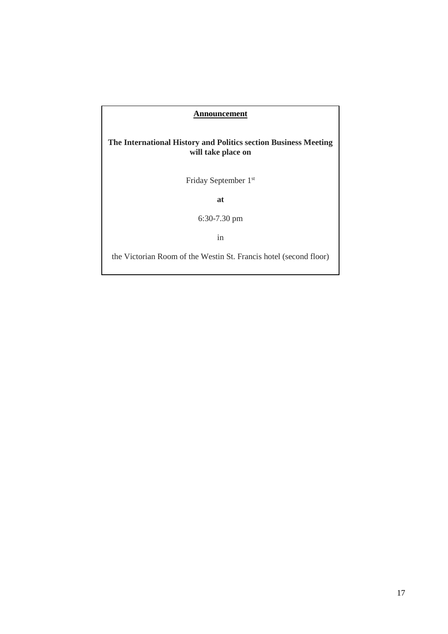#### **Announcement**

#### **The International History and Politics section Business Meeting will take place on**

Friday September 1st

**at**

6:30-7.30 pm

in

the Victorian Room of the Westin St. Francis hotel (second floor)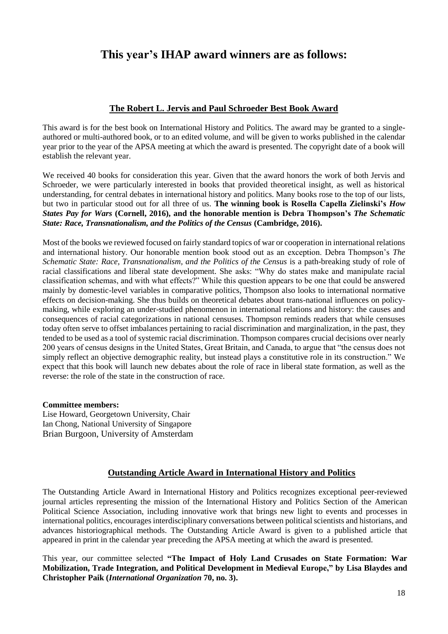# **This year's IHAP award winners are as follows:**

#### **The Robert L. Jervis and Paul Schroeder Best Book Award**

This award is for the best book on International History and Politics. The award may be granted to a singleauthored or multi-authored book, or to an edited volume, and will be given to works published in the calendar year prior to the year of the APSA meeting at which the award is presented. The copyright date of a book will establish the relevant year.

We received 40 books for consideration this year. Given that the award honors the work of both Jervis and Schroeder, we were particularly interested in books that provided theoretical insight, as well as historical understanding, for central debates in international history and politics. Many books rose to the top of our lists, but two in particular stood out for all three of us. **The winning book is Rosella Capella Zielinski's** *How States Pay for Wars* **(Cornell, 2016), and the honorable mention is Debra Thompson's** *The Schematic State: Race, Transnationalism, and the Politics of the Census* **(Cambridge, 2016).**

Most of the books we reviewed focused on fairly standard topics of war or cooperation in international relations and international history. Our honorable mention book stood out as an exception. Debra Thompson's *The Schematic State: Race, Transnationalism, and the Politics of the Census* is a path-breaking study of role of racial classifications and liberal state development. She asks: "Why do states make and manipulate racial classification schemas, and with what effects?" While this question appears to be one that could be answered mainly by domestic-level variables in comparative politics, Thompson also looks to international normative effects on decision-making. She thus builds on theoretical debates about trans-national influences on policymaking, while exploring an under-studied phenomenon in international relations and history: the causes and consequences of racial categorizations in national censuses. Thompson reminds readers that while censuses today often serve to offset imbalances pertaining to racial discrimination and marginalization, in the past, they tended to be used as a tool of systemic racial discrimination. Thompson compares crucial decisions over nearly 200 years of census designs in the United States, Great Britain, and Canada, to argue that "the census does not simply reflect an objective demographic reality, but instead plays a constitutive role in its construction." We expect that this book will launch new debates about the role of race in liberal state formation, as well as the reverse: the role of the state in the construction of race.

#### **Committee members:**

Lise Howard, Georgetown University, Chair Ian Chong, National University of Singapore Brian Burgoon, University of Amsterdam

#### **Outstanding Article Award in International History and Politics**

The Outstanding Article Award in International History and Politics recognizes exceptional peer-reviewed journal articles representing the mission of the International History and Politics Section of the American Political Science Association, including innovative work that brings new light to events and processes in international politics, encourages interdisciplinary conversations between political scientists and historians, and advances historiographical methods. The Outstanding Article Award is given to a published article that appeared in print in the calendar year preceding the APSA meeting at which the award is presented.

This year, our committee selected **"The Impact of Holy Land Crusades on State Formation: War Mobilization, Trade Integration, and Political Development in Medieval Europe," by Lisa Blaydes and Christopher Paik (***International Organization* **70, no. 3).**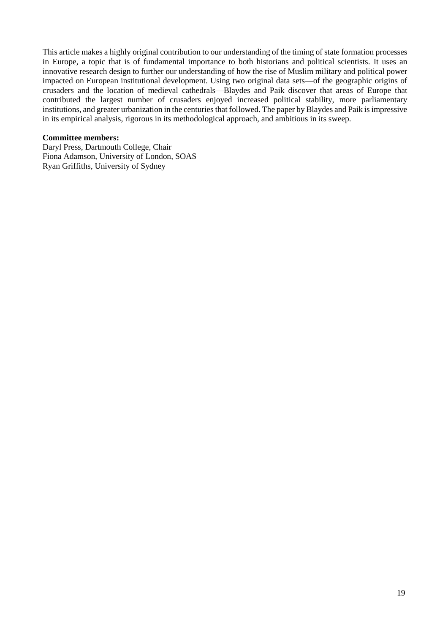This article makes a highly original contribution to our understanding of the timing of state formation processes in Europe, a topic that is of fundamental importance to both historians and political scientists. It uses an innovative research design to further our understanding of how the rise of Muslim military and political power impacted on European institutional development. Using two original data sets—of the geographic origins of crusaders and the location of medieval cathedrals—Blaydes and Paik discover that areas of Europe that contributed the largest number of crusaders enjoyed increased political stability, more parliamentary institutions, and greater urbanization in the centuries that followed. The paper by Blaydes and Paik is impressive in its empirical analysis, rigorous in its methodological approach, and ambitious in its sweep.

#### **Committee members:**

Daryl Press, Dartmouth College, Chair Fiona Adamson, University of London, SOAS Ryan Griffiths, University of Sydney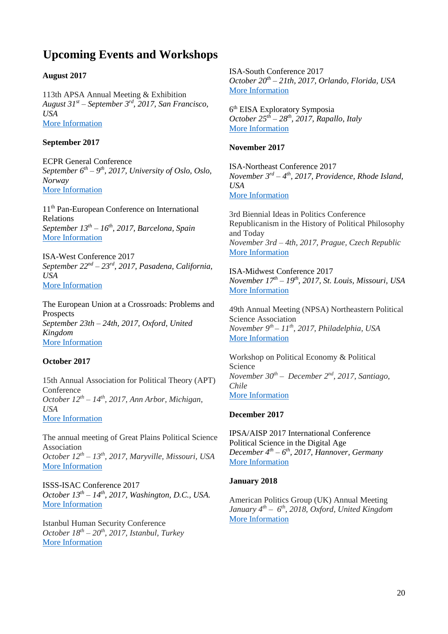# **Upcoming Events and Workshops**

#### **August 2017**

113th APSA Annual Meeting & Exhibition *August 31st* – *September 3 rd , 2017, San Francisco, USA* More [Information](http://web.apsanet.org/apsa2017/)

#### **September 2017**

ECPR General Conference *September 6 th – 9 th , 2017, University of Oslo, Oslo, Norway* More [Information](https://ecpr.eu/Events/EventDetails.aspx?EventID=96)

11th Pan-European Conference on International Relations *September 13th – 16th , 2017, Barcelona, Spain* More [Information](http://www.paneuropeanconference.org/2017/)

ISA-West Conference 2017 *September 22nd – 23rd , 2017, Pasadena, California, USA* More [Information](http://www.isanet.org/Conferences/West-Pasadena-2017)

The European Union at a Crossroads: Problems and Prospects *September 23th – 24th, 2017, Oxford, United Kingdom* More [Information](http://www.ashburninstitute.org/?q=content/graduate-student-conference)

#### **October 2017**

15th Annual Association for Political Theory (APT) Conference *October 12th – 14th , 2017, Ann Arbor, Michigan, USA* More [Information](https://www.apt-us.org/2017_Conference_CFP)

The annual meeting of Great Plains Political Science Association *October 12th – 13th , 2017, Maryville, Missouri, USA* More [Information](http://greatplainspolsci.blogspot.com/p/annual-meeting.html)

ISSS-ISAC Conference 2017 *October 13th – 14th , 2017, Washington, D.C., USA.* More [Information](http://www.isanet.org/Conferences/ISSS-ISAC-Washington-DC-2017)

Istanbul Human Security Conference *October 18th – 20th , 2017, Istanbul, Turkey* More [Information](http://www.istanbulhumansecurity.org/)

ISA-South Conference 2017 *October 20th – 21th, 2017, Orlando, Florida, USA* More [Information](http://www.isanet.org/Conferences/South-Orlando-2017)

6 th EISA Exploratory Symposia *October 25th – 28th , 2017, Rapallo, Italy* More [Information](http://www.eisa-net.org/sitecore/content/be-bruga/eisa/events/exploratorysymposia.aspx)

#### **November 2017**

ISA-Northeast Conference 2017 *November 3 rd – 4 th , 2017, Providence, Rhode Island, USA* More [Information](http://www.isanet.org/Conferences/Northeast-Providence-2017)

3rd Biennial Ideas in Politics Conference Republicanism in the History of Political Philosophy and Today *November 3rd – 4th, 2017, Prague, Czech Republic* More [Information](http://ideasinpolitics.fsv.cuni.cz/)

ISA-Midwest Conference 2017 *November 17th – 19th , 2017, St. Louis, Missouri, USA* More [Information](http://www.isanet.org/Conferences/Midwest-St-Louis-2017)

49th Annual Meeting (NPSA) Northeastern Political Science Association *November 9 th – 11th , 2017, Philadelphia, USA* More [Information](https://convention2.allacademic.com/one/npsa/npsa17/)

Workshop on Political Economy & Political Science *November 30th – December 2 nd , 2017, Santiago, Chile* More [Information](http://mipp.cl/content/workshops/workshop-political-economy-political-science-peps-2017)

#### **December 2017**

IPSA/AISP 2017 International Conference Political Science in the Digital Age *December 4 th – 6 th , 2017, Hannover, Germany* More [Information](https://hannover2017.ipsa.org/)

#### **January 2018**

American Politics Group (UK) Annual Meeting *January 4 th – 6 th , 2018, Oxford, United Kingdom* More [Information](http://www.american-politics-group-uk.net/)